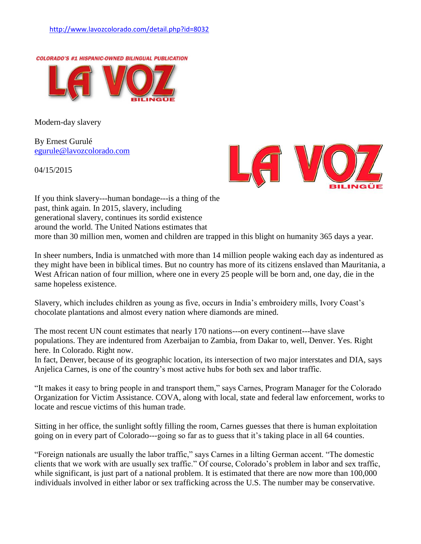

Modern-day slavery

By Ernest Gurulé [egurule@lavozcolorado.com](mailto:egurule@lavozcolorado.com)

04/15/2015



If you think slavery---human bondage---is a thing of the past, think again. In 2015, slavery, including generational slavery, continues its sordid existence around the world. The United Nations estimates that more than 30 million men, women and children are trapped in this blight on humanity 365 days a year.

In sheer numbers, India is unmatched with more than 14 million people waking each day as indentured as they might have been in biblical times. But no country has more of its citizens enslaved than Mauritania, a West African nation of four million, where one in every 25 people will be born and, one day, die in the same hopeless existence.

Slavery, which includes children as young as five, occurs in India's embroidery mills, Ivory Coast's chocolate plantations and almost every nation where diamonds are mined.

The most recent UN count estimates that nearly 170 nations---on every continent---have slave populations. They are indentured from Azerbaijan to Zambia, from Dakar to, well, Denver. Yes. Right here. In Colorado. Right now.

In fact, Denver, because of its geographic location, its intersection of two major interstates and DIA, says Anjelica Carnes, is one of the country's most active hubs for both sex and labor traffic.

"It makes it easy to bring people in and transport them," says Carnes, Program Manager for the Colorado Organization for Victim Assistance. COVA, along with local, state and federal law enforcement, works to locate and rescue victims of this human trade.

Sitting in her office, the sunlight softly filling the room, Carnes guesses that there is human exploitation going on in every part of Colorado---going so far as to guess that it's taking place in all 64 counties.

"Foreign nationals are usually the labor traffic," says Carnes in a lilting German accent. "The domestic clients that we work with are usually sex traffic." Of course, Colorado's problem in labor and sex traffic, while significant, is just part of a national problem. It is estimated that there are now more than 100,000 individuals involved in either labor or sex trafficking across the U.S. The number may be conservative.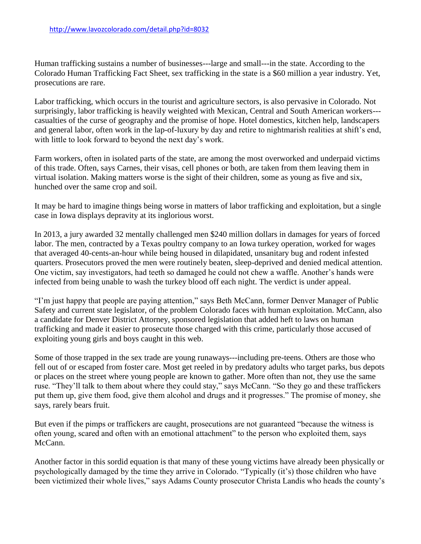Human trafficking sustains a number of businesses---large and small---in the state. According to the Colorado Human Trafficking Fact Sheet, sex trafficking in the state is a \$60 million a year industry. Yet, prosecutions are rare.

Labor trafficking, which occurs in the tourist and agriculture sectors, is also pervasive in Colorado. Not surprisingly, labor trafficking is heavily weighted with Mexican, Central and South American workers-- casualties of the curse of geography and the promise of hope. Hotel domestics, kitchen help, landscapers and general labor, often work in the lap-of-luxury by day and retire to nightmarish realities at shift's end, with little to look forward to beyond the next day's work.

Farm workers, often in isolated parts of the state, are among the most overworked and underpaid victims of this trade. Often, says Carnes, their visas, cell phones or both, are taken from them leaving them in virtual isolation. Making matters worse is the sight of their children, some as young as five and six, hunched over the same crop and soil.

It may be hard to imagine things being worse in matters of labor trafficking and exploitation, but a single case in Iowa displays depravity at its inglorious worst.

In 2013, a jury awarded 32 mentally challenged men \$240 million dollars in damages for years of forced labor. The men, contracted by a Texas poultry company to an Iowa turkey operation, worked for wages that averaged 40-cents-an-hour while being housed in dilapidated, unsanitary bug and rodent infested quarters. Prosecutors proved the men were routinely beaten, sleep-deprived and denied medical attention. One victim, say investigators, had teeth so damaged he could not chew a waffle. Another's hands were infected from being unable to wash the turkey blood off each night. The verdict is under appeal.

"I'm just happy that people are paying attention," says Beth McCann, former Denver Manager of Public Safety and current state legislator, of the problem Colorado faces with human exploitation. McCann, also a candidate for Denver District Attorney, sponsored legislation that added heft to laws on human trafficking and made it easier to prosecute those charged with this crime, particularly those accused of exploiting young girls and boys caught in this web.

Some of those trapped in the sex trade are young runaways---including pre-teens. Others are those who fell out of or escaped from foster care. Most get reeled in by predatory adults who target parks, bus depots or places on the street where young people are known to gather. More often than not, they use the same ruse. "They'll talk to them about where they could stay," says McCann. "So they go and these traffickers put them up, give them food, give them alcohol and drugs and it progresses." The promise of money, she says, rarely bears fruit.

But even if the pimps or traffickers are caught, prosecutions are not guaranteed "because the witness is often young, scared and often with an emotional attachment" to the person who exploited them, says McCann.

Another factor in this sordid equation is that many of these young victims have already been physically or psychologically damaged by the time they arrive in Colorado. "Typically (it's) those children who have been victimized their whole lives," says Adams County prosecutor Christa Landis who heads the county's